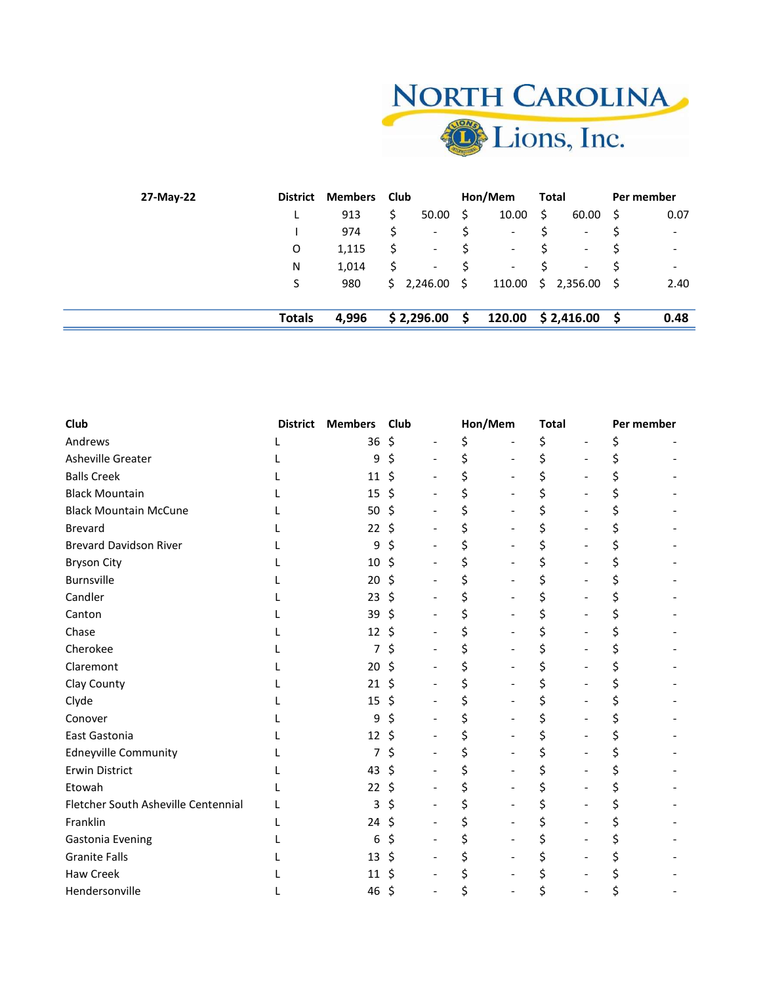| <b>NORTH CAROLINA</b> |
|-----------------------|
| <b>D</b> Lions, Inc.  |

| 27-May-22 | <b>District</b> | <b>Members</b> | Club |                          |    | Hon/Mem                      |     | Total                    |          | Per member               |
|-----------|-----------------|----------------|------|--------------------------|----|------------------------------|-----|--------------------------|----------|--------------------------|
|           |                 | 913            | \$   | 50.00                    | S  | 10.00                        | -\$ | 60.00                    | S        | 0.07                     |
|           |                 | 974            | \$   | $\overline{\phantom{a}}$ |    | $\overline{\phantom{a}}$     |     | -                        | Ś        | $\blacksquare$           |
|           | $\circ$         | 1,115          | S    | $\overline{\phantom{a}}$ |    | $\qquad \qquad \blacksquare$ |     | -                        |          | $\overline{\phantom{a}}$ |
|           | N               | 1,014          | \$   | $\overline{\phantom{a}}$ |    | $\overline{\phantom{a}}$     |     | $\overline{\phantom{a}}$ |          | $\overline{\phantom{a}}$ |
|           | S               | 980            |      | \$2,246.00               | S. | 110.00                       |     | \$2,356.00               | - S      | 2.40                     |
|           | <b>Totals</b>   | 4,996          |      | \$2,296.00               | S  | 120.00                       |     | \$ 2,416.00              | <b>S</b> | 0.48                     |

 $\equiv$ 

| Club                                | <b>District</b> | <b>Members</b> | Club | Hon/Mem |                          | <b>Total</b> | Per member |  |
|-------------------------------------|-----------------|----------------|------|---------|--------------------------|--------------|------------|--|
| Andrews                             |                 | 36             | \$   | \$      |                          | \$           | Ś          |  |
| Asheville Greater                   |                 | 9              | Ś    |         | $\overline{\phantom{0}}$ |              |            |  |
| <b>Balls Creek</b>                  |                 | 11             | Ś    |         |                          |              |            |  |
| <b>Black Mountain</b>               |                 | 15             | \$   |         |                          |              |            |  |
| <b>Black Mountain McCune</b>        |                 | 50             | \$   |         |                          |              |            |  |
| <b>Brevard</b>                      |                 | 22             | Ś    |         |                          |              |            |  |
| <b>Brevard Davidson River</b>       |                 | 9              | Ś    |         |                          |              |            |  |
| <b>Bryson City</b>                  |                 | 10             | S    |         |                          |              |            |  |
| Burnsville                          |                 | 20             | \$   |         |                          |              |            |  |
| Candler                             |                 | 23             | \$   |         |                          |              |            |  |
| Canton                              |                 | 39             | \$   |         |                          |              |            |  |
| Chase                               |                 | 12             |      |         |                          |              |            |  |
| Cherokee                            |                 |                | Ś    |         |                          |              |            |  |
| Claremont                           |                 | 20             | \$   |         |                          |              |            |  |
| Clay County                         |                 | 21             |      |         |                          |              |            |  |
| Clyde                               |                 | 15             | Ś    |         |                          |              |            |  |
| Conover                             |                 | 9              | S    |         |                          |              |            |  |
| East Gastonia                       |                 | 12             |      |         |                          |              |            |  |
| <b>Edneyville Community</b>         |                 |                |      |         |                          |              |            |  |
| Erwin District                      |                 | 43             | S    |         |                          |              |            |  |
| Etowah                              |                 | 22             | S    |         |                          |              |            |  |
| Fletcher South Asheville Centennial |                 | 3              |      |         |                          |              |            |  |
| Franklin                            |                 | 24             | Ş    |         |                          |              |            |  |
| Gastonia Evening                    |                 | 6              |      |         |                          |              |            |  |
| <b>Granite Falls</b>                |                 | 13             | Ś    |         |                          |              |            |  |
| <b>Haw Creek</b>                    |                 | 11             | S    |         |                          |              |            |  |
| Hendersonville                      |                 | 46             | Ś    |         |                          |              |            |  |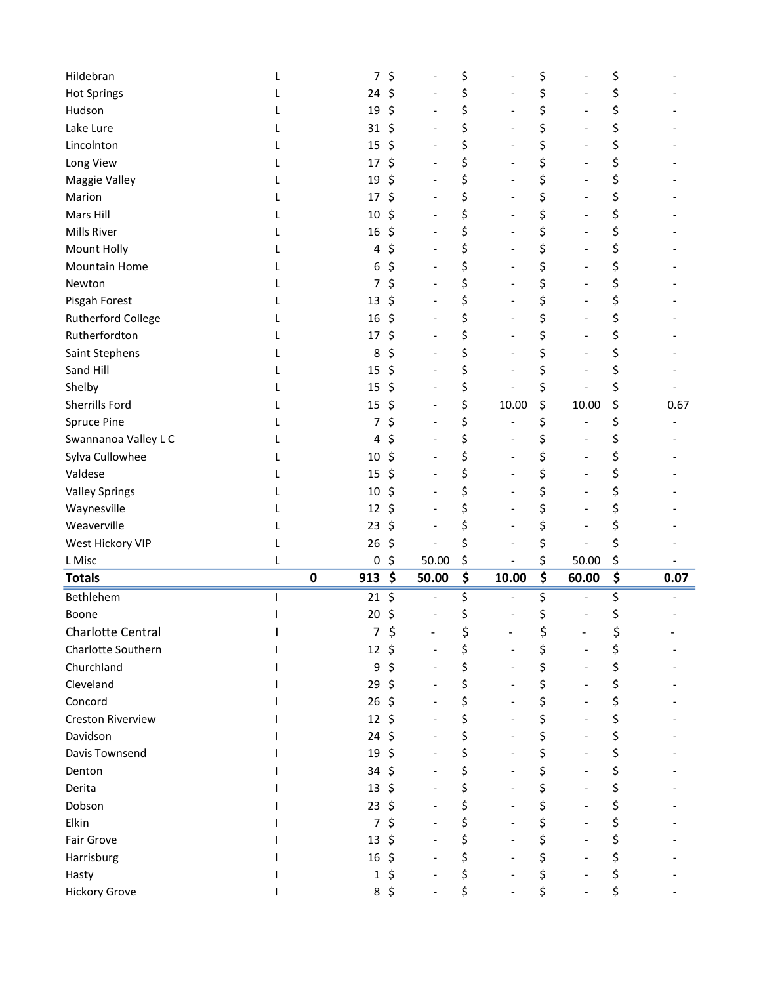| Hildebran                 |   | 7                | \$ |       | \$ |                          | \$                              |       | \$ |      |
|---------------------------|---|------------------|----|-------|----|--------------------------|---------------------------------|-------|----|------|
| <b>Hot Springs</b>        |   | 24               | \$ |       | \$ |                          | \$                              |       | \$ |      |
| Hudson                    |   | 19               | \$ |       | \$ |                          | \$                              |       | \$ |      |
| Lake Lure                 |   | 31               | \$ |       | \$ |                          | \$                              |       | \$ |      |
| Lincolnton                |   | 15               | \$ |       | \$ | $\overline{\phantom{a}}$ | \$                              |       | \$ |      |
| Long View                 |   | 17               | \$ |       | \$ |                          | \$                              |       | \$ |      |
| Maggie Valley             |   | 19               | \$ |       | \$ |                          | \$                              |       | \$ |      |
| Marion                    |   | 17               | \$ |       | \$ |                          | \$                              |       | \$ |      |
| Mars Hill                 |   | $10\,$           | \$ |       | \$ |                          | \$                              |       | \$ |      |
| <b>Mills River</b>        |   | 16               | \$ |       | \$ |                          | \$                              |       | \$ |      |
| Mount Holly               |   | 4                | \$ |       | \$ |                          | \$                              |       | \$ |      |
| Mountain Home             |   | 6                | \$ |       | \$ |                          | \$                              |       | \$ |      |
| Newton                    |   | 7                | \$ |       | \$ |                          | \$                              |       | \$ |      |
| Pisgah Forest             |   | 13               | \$ |       | \$ |                          | \$                              |       | \$ |      |
| <b>Rutherford College</b> |   | 16               | \$ |       | \$ |                          | \$                              |       | \$ |      |
| Rutherfordton             |   | 17               | \$ |       | \$ |                          | \$                              |       | \$ |      |
| Saint Stephens            |   | 8                | \$ |       | \$ |                          | \$                              |       | \$ |      |
| Sand Hill                 |   | 15               | \$ |       | \$ |                          | \$                              |       | \$ |      |
| Shelby                    |   | 15               | \$ |       | \$ |                          | \$                              |       | \$ |      |
| Sherrills Ford            |   | 15               | \$ |       | \$ | 10.00                    | \$                              | 10.00 | \$ | 0.67 |
| <b>Spruce Pine</b>        |   | 7                | \$ |       | \$ |                          | \$                              |       | \$ |      |
| Swannanoa Valley L C      |   | 4                | \$ |       | \$ |                          |                                 |       | \$ |      |
|                           |   | 10               | \$ |       | \$ |                          | \$                              |       | \$ |      |
| Sylva Cullowhee           |   |                  |    |       |    |                          | \$                              |       |    |      |
| Valdese                   |   | 15               | \$ |       | \$ |                          | \$                              |       | \$ |      |
| <b>Valley Springs</b>     |   | 10               | \$ |       | \$ |                          | \$                              |       | \$ |      |
| Waynesville               |   | 12               | \$ |       | \$ |                          | \$                              |       | \$ |      |
| Weaverville               |   | 23               | \$ |       | \$ |                          | \$                              |       | \$ |      |
| West Hickory VIP          |   | 26               | \$ |       | \$ |                          | \$                              | 50.00 | \$ |      |
| L Misc                    |   |                  |    |       | \$ |                          | \$                              |       | \$ |      |
|                           | L | 0                | \$ | 50.00 |    |                          |                                 |       |    |      |
| <b>Totals</b>             |   | 913<br>$\pmb{0}$ | \$ | 50.00 | \$ | 10.00                    | $\overline{\boldsymbol{\zeta}}$ | 60.00 | \$ | 0.07 |
| Bethlehem                 |   | 21               | \$ |       | \$ |                          | \$                              |       | \$ |      |
| Boone                     |   | 20               | \$ |       | \$ |                          | \$                              |       | \$ |      |
| Charlotte Central         |   | 7                | \$ |       | Ş  |                          | \$                              |       | Ş  |      |
| Charlotte Southern        |   | 12               | Ś  |       | \$ |                          | \$                              |       | \$ |      |
| Churchland                |   | 9                | Ś  |       | \$ | $\overline{\phantom{a}}$ | \$                              |       | \$ |      |
| Cleveland                 |   | 29               | \$ |       | \$ |                          | \$                              |       | \$ |      |
| Concord                   |   | 26               | \$ |       | \$ |                          | \$                              |       | \$ |      |
| <b>Creston Riverview</b>  |   | 12               | Ś  |       | \$ |                          | \$                              |       | \$ |      |
| Davidson                  |   | 24               | \$ |       | \$ |                          | \$                              |       | \$ |      |
| Davis Townsend            |   | 19               | \$ |       | \$ |                          | \$                              |       | \$ |      |
| Denton                    |   | 34               | Ś  |       | \$ |                          | \$                              |       | \$ |      |
| Derita                    |   | 13               | \$ |       | \$ |                          | \$                              |       | \$ |      |
| Dobson                    |   | 23               | \$ |       | \$ |                          | \$                              |       | \$ |      |
| Elkin                     |   | 7                | \$ |       | \$ |                          | \$                              |       | \$ |      |
| Fair Grove                |   | 13               | \$ |       | \$ |                          | \$                              |       | \$ |      |
| Harrisburg                |   | 16               | \$ |       | \$ |                          | \$                              |       | \$ |      |
| Hasty                     |   | 1                | \$ |       | \$ |                          | \$                              |       | \$ |      |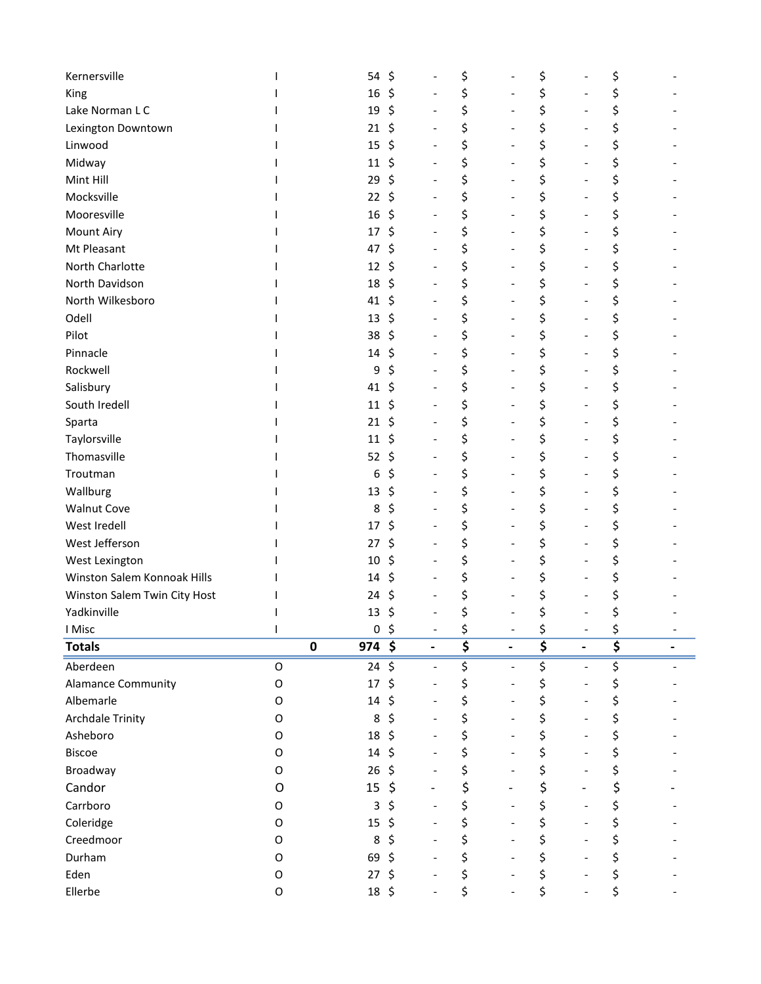| King                                        |              | 54               | \$             |                          | \$       |                              | \$                                        | \$       |  |
|---------------------------------------------|--------------|------------------|----------------|--------------------------|----------|------------------------------|-------------------------------------------|----------|--|
|                                             |              | 16               | \$             |                          | \$       |                              | \$                                        | \$       |  |
| Lake Norman L C                             |              | 19               | $\zeta$        |                          | \$       |                              | \$                                        | \$       |  |
| Lexington Downtown                          |              | 21               | \$             |                          | \$       |                              | \$                                        | \$       |  |
| Linwood                                     |              | 15               | \$             |                          | \$       |                              | \$                                        | \$       |  |
| Midway                                      |              | 11               | \$             |                          | \$       |                              | \$                                        | \$       |  |
| Mint Hill                                   |              | 29               | Ś.             |                          | \$       |                              | \$                                        | \$       |  |
| Mocksville                                  |              | $22 \div$        |                |                          | \$       |                              | \$                                        | \$       |  |
| Mooresville                                 |              | 16               | \$             |                          | \$       |                              | \$                                        | \$       |  |
| <b>Mount Airy</b>                           |              | 17               | \$             |                          | \$       |                              | \$                                        | \$       |  |
| Mt Pleasant                                 |              | 47               | \$             |                          | \$       | $\overline{\phantom{0}}$     | \$                                        | \$       |  |
| North Charlotte                             |              | 12               | \$             |                          | \$       |                              | \$                                        | \$       |  |
| North Davidson                              |              | 18               | \$             |                          | \$       |                              | \$                                        | \$       |  |
| North Wilkesboro                            |              | 41               | \$             |                          | \$       |                              | \$                                        | \$       |  |
| Odell                                       |              | 13               | \$             |                          | \$       |                              | \$                                        | \$       |  |
| Pilot                                       |              | 38               | \$             |                          | \$       |                              | \$                                        | \$       |  |
| Pinnacle                                    |              | 14               | \$             |                          | \$       | -                            | \$                                        | \$       |  |
| Rockwell                                    |              | 9                | Ś              |                          | \$       |                              | \$                                        | \$       |  |
| Salisbury                                   |              | 41               | \$             |                          | \$       |                              | \$                                        | \$       |  |
| South Iredell                               |              | 11               | \$             |                          | \$       |                              | \$                                        | \$       |  |
| Sparta                                      |              | 21               | \$             |                          | \$       |                              | \$                                        | \$       |  |
| Taylorsville                                |              | 11               | \$             |                          | \$       |                              | \$                                        | \$       |  |
| Thomasville                                 |              | 52               | \$             |                          | \$       |                              | \$                                        | \$       |  |
| Troutman                                    |              | 6                | \$             |                          | \$       |                              | \$                                        | \$       |  |
| Wallburg                                    |              | 13               | \$             |                          | \$       |                              | \$                                        | \$       |  |
| <b>Walnut Cove</b>                          |              | 8                | Ś              |                          | \$       |                              | \$                                        | \$       |  |
| West Iredell                                |              | 17               | \$             |                          | \$       |                              | \$                                        | \$       |  |
| West Jefferson                              |              | 27               | \$             |                          | \$       |                              | \$                                        |          |  |
|                                             |              |                  |                |                          |          |                              |                                           | \$       |  |
| West Lexington                              |              | 10               | \$             |                          | \$       |                              | \$                                        | \$       |  |
| Winston Salem Konnoak Hills                 |              | 14               | \$             |                          | \$       |                              | \$                                        | \$       |  |
|                                             |              | 24               | \$             |                          | \$       |                              |                                           |          |  |
| Winston Salem Twin City Host<br>Yadkinville |              | 13               | \$             |                          | \$       |                              | \$<br>\$                                  | \$<br>\$ |  |
| I Misc                                      | $\mathbf{I}$ |                  | 0 <sup>5</sup> |                          | \$       | $\overline{\phantom{a}}$     |                                           | \$       |  |
| <b>Totals</b>                               |              | $974$ \$<br>0    |                |                          | \$       | $\qquad \qquad \blacksquare$ | \$<br>$\overline{\boldsymbol{\varsigma}}$ | \$       |  |
| Aberdeen                                    | $\mathsf O$  | $24 \;$ \$       |                | $\overline{\phantom{a}}$ | \$       | $\overline{\phantom{a}}$     | \$                                        | \$       |  |
| <b>Alamance Community</b>                   | O            | 17               | \$             |                          | \$       |                              |                                           | \$       |  |
| Albemarle                                   | O            | $14 \; \text{S}$ |                |                          | \$       | $\overline{a}$               | \$                                        | \$       |  |
| <b>Archdale Trinity</b>                     | O            | 8                | \$             |                          | \$       | $\overline{\phantom{0}}$     | \$<br>\$                                  | \$       |  |
| Asheboro                                    | O            | 18               | \$             |                          | \$       |                              |                                           |          |  |
| <b>Biscoe</b>                               | O            | 14               | $\zeta$        |                          | \$       |                              | \$                                        | \$<br>\$ |  |
| Broadway                                    | 0            | 26               | Ŝ.             |                          | \$       | $\overline{\phantom{0}}$     | \$<br>\$                                  | \$       |  |
| Candor                                      | O            | 15               | \$             |                          |          | $\overline{\phantom{0}}$     |                                           |          |  |
| Carrboro                                    | 0            | 3                | \$             |                          | \$       |                              | \$                                        | \$       |  |
|                                             | O            | 15               | \$             |                          | \$       | $\overline{\phantom{0}}$     | \$                                        | \$       |  |
| Coleridge                                   | O            | 8                | \$             |                          | \$       |                              | \$                                        | \$       |  |
| Creedmoor                                   | O            |                  | $\zeta$        |                          | \$       |                              | \$                                        | \$       |  |
| Durham<br>Eden                              | O            | 69<br>$27$ \$    |                |                          | \$<br>\$ |                              | \$<br>\$                                  | \$<br>\$ |  |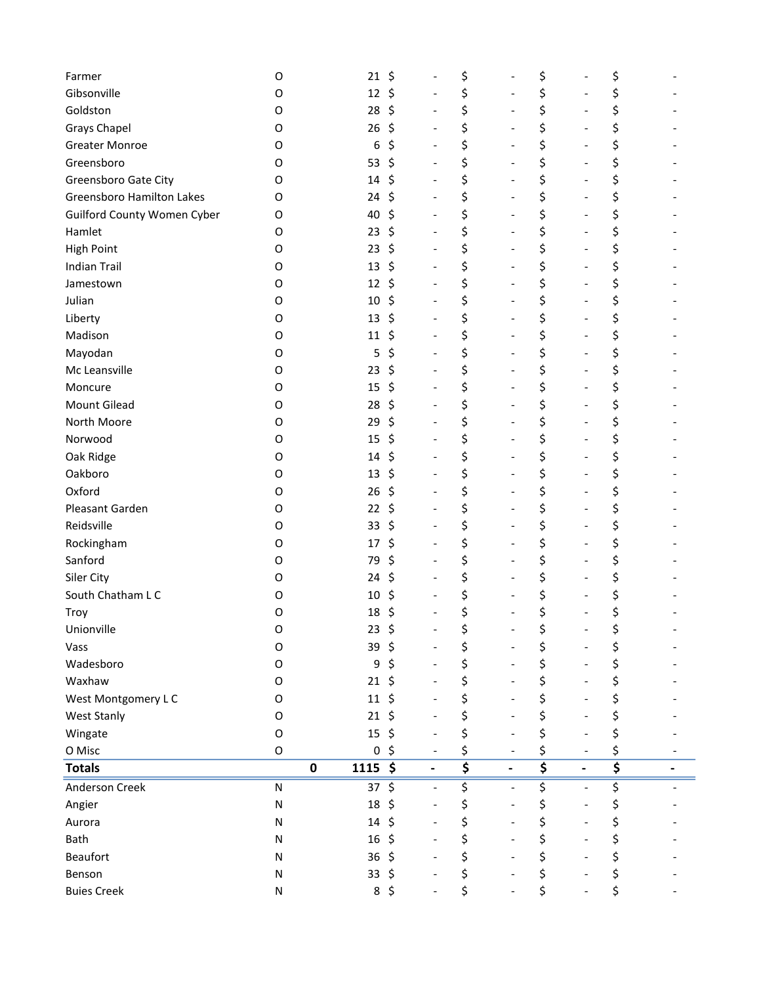| Farmer                      | O           | 21             | \$                             | \$                              |                              | \$                                  |                              | \$                                  |  |
|-----------------------------|-------------|----------------|--------------------------------|---------------------------------|------------------------------|-------------------------------------|------------------------------|-------------------------------------|--|
| Gibsonville                 | O           | 12             | \$                             | \$                              |                              | \$                                  |                              | \$                                  |  |
| Goldston                    | O           | 28             | \$                             | \$                              |                              | \$                                  |                              | \$                                  |  |
| <b>Grays Chapel</b>         | O           | 26             | \$                             | \$                              |                              | \$                                  |                              | \$                                  |  |
| <b>Greater Monroe</b>       | O           | 6              | \$                             | \$                              | $\overline{\phantom{a}}$     | \$                                  |                              | \$                                  |  |
| Greensboro                  | O           | 53             | \$                             | \$                              |                              | \$                                  |                              | \$                                  |  |
| Greensboro Gate City        | O           | 14             | \$                             | \$                              |                              | \$                                  |                              | \$                                  |  |
| Greensboro Hamilton Lakes   | O           | 24             | \$                             | \$                              | $\overline{\phantom{a}}$     | \$                                  | $\qquad \qquad \blacksquare$ | \$                                  |  |
| Guilford County Women Cyber | O           | 40             | \$                             | \$                              |                              | \$                                  |                              | \$                                  |  |
| Hamlet                      | O           | 23             | \$                             | \$                              |                              | \$                                  |                              | \$                                  |  |
| <b>High Point</b>           | O           | 23             | \$<br>$\overline{a}$           | \$                              | $\qquad \qquad \blacksquare$ | \$                                  | $\qquad \qquad \blacksquare$ | \$                                  |  |
| <b>Indian Trail</b>         | O           | 13             | \$                             | \$                              |                              | \$                                  |                              | \$                                  |  |
| Jamestown                   | O           | 12             | \$                             | \$                              |                              | \$                                  |                              | \$                                  |  |
| Julian                      | O           | 10             | \$                             | \$                              | $\overline{\phantom{m}}$     | \$                                  | $\overline{\phantom{m}}$     | \$                                  |  |
| Liberty                     | O           | 13             | \$                             | \$                              |                              | \$                                  |                              | \$                                  |  |
| Madison                     | O           | 11             | \$                             | \$                              | $\overline{\phantom{a}}$     | \$                                  |                              | \$                                  |  |
| Mayodan                     | O           | 5              | \$                             | \$                              |                              | \$                                  |                              | \$                                  |  |
| Mc Leansville               | O           | 23             | \$                             | \$                              |                              | \$                                  |                              | \$                                  |  |
| Moncure                     | O           | 15             | \$                             | \$                              |                              | \$                                  |                              | \$                                  |  |
| Mount Gilead                | O           | 28             | \$                             | \$                              | $\overline{\phantom{a}}$     | \$                                  |                              | \$                                  |  |
| North Moore                 | O           | 29             | \$                             | \$                              |                              | \$                                  |                              | \$                                  |  |
| Norwood                     | O           | 15             | \$                             | \$                              | $\overline{\phantom{a}}$     | \$                                  |                              | \$                                  |  |
| Oak Ridge                   | O           | 14             | \$                             | \$                              |                              | \$                                  |                              | \$                                  |  |
| Oakboro                     | O           | 13             | \$                             | \$                              |                              | \$                                  |                              | \$                                  |  |
| Oxford                      | O           | 26             | \$                             | \$                              |                              | \$                                  |                              | \$                                  |  |
| Pleasant Garden             | O           | 22             | \$                             | \$                              | Ĭ.                           | \$                                  |                              | \$                                  |  |
| Reidsville                  | O           | 33             | \$                             | \$                              |                              | \$                                  | $\qquad \qquad \blacksquare$ | \$                                  |  |
| Rockingham                  | O           | 17             | \$                             | \$                              |                              | \$                                  |                              | \$                                  |  |
| Sanford                     | O           | 79             | \$                             | \$                              |                              | \$                                  |                              | \$                                  |  |
| Siler City                  | O           | 24             | \$                             | \$                              | $\qquad \qquad \blacksquare$ | \$                                  |                              | \$                                  |  |
| South Chatham L C           | O           | 10             | \$                             | \$                              |                              | \$                                  |                              | \$                                  |  |
| Troy                        | 0           | 18             | \$                             | \$                              |                              | \$                                  |                              | \$                                  |  |
| Unionville                  | 0           | 23             | \$                             | \$                              |                              | \$                                  |                              | \$                                  |  |
| Vass                        | O           | 39             | \$                             | \$                              |                              | \$                                  |                              | \$                                  |  |
| Wadesboro                   | 0           | 9              | \$                             | \$                              |                              | \$                                  |                              | \$                                  |  |
| Waxhaw                      | 0           | 21             | \$                             | \$                              |                              | \$                                  |                              | \$                                  |  |
| West Montgomery LC          | 0           | 11             | \$                             | \$                              |                              | \$                                  |                              | \$                                  |  |
| West Stanly                 | 0           | 21             | \$                             | \$                              |                              | \$                                  |                              | \$                                  |  |
| Wingate                     | O           | 15             | \$                             | \$                              |                              | \$                                  |                              | \$                                  |  |
| O Misc                      | $\mathsf O$ | 0              | \$                             | \$                              |                              | \$                                  |                              | \$                                  |  |
| <b>Totals</b>               |             | $1115$ \$<br>0 |                                | $\overline{\boldsymbol{\zeta}}$ | $\overline{\phantom{a}}$     | $\overline{\boldsymbol{\varsigma}}$ |                              | $\overline{\boldsymbol{\varsigma}}$ |  |
| Anderson Creek              | ${\sf N}$   | 37             | \$<br>$\overline{\phantom{0}}$ | \$                              | $\overline{\phantom{a}}$     | \$                                  |                              | \$                                  |  |
| Angier                      | ${\sf N}$   | 18             | \$                             | \$                              | $\overline{\phantom{a}}$     | \$                                  |                              | \$                                  |  |
| Aurora                      | N           | 14             | \$                             | \$                              |                              | \$                                  |                              | \$                                  |  |
| Bath                        | N           | 16             | \$                             | \$                              |                              | \$                                  |                              | \$                                  |  |
| Beaufort                    | N           | 36             | \$                             | \$                              |                              | \$                                  |                              | \$                                  |  |
| Benson                      | N           | $33 \;$ \$     |                                | \$                              |                              | \$                                  |                              | \$                                  |  |
| <b>Buies Creek</b>          | N           | $8\frac{2}{3}$ |                                | \$                              |                              | \$                                  |                              | \$                                  |  |
|                             |             |                |                                |                                 |                              |                                     |                              |                                     |  |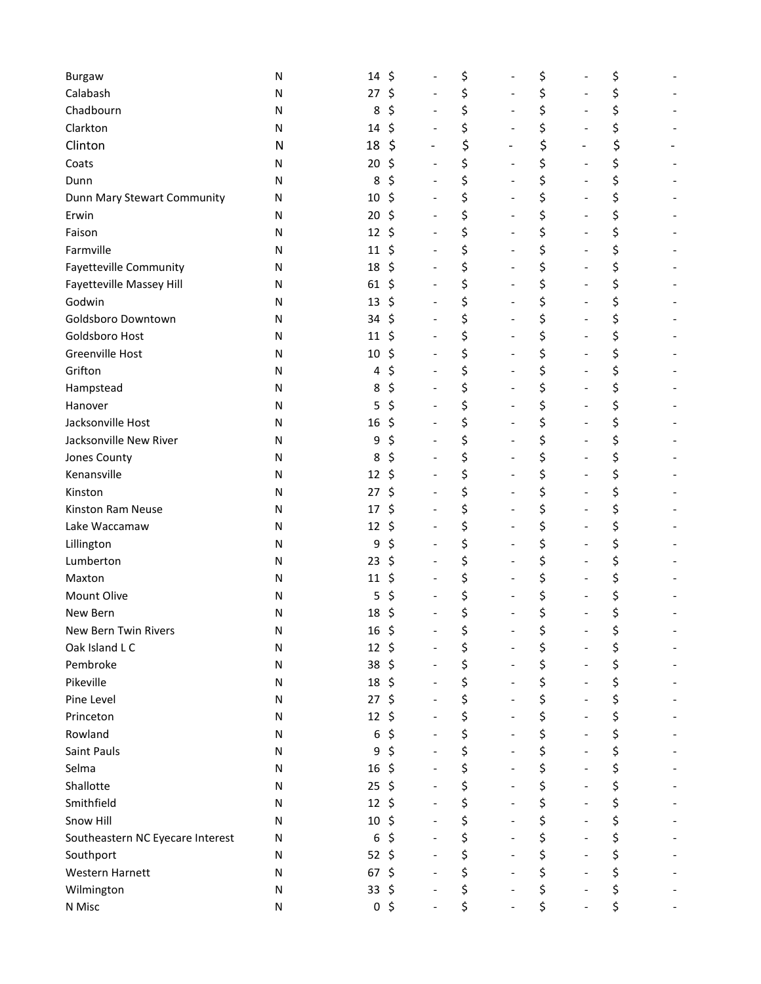| <b>Burgaw</b>                    | Ν         | 14 | \$             |                   |                              | \$                             | \$                                 | \$ |
|----------------------------------|-----------|----|----------------|-------------------|------------------------------|--------------------------------|------------------------------------|----|
| Calabash                         | Ν         | 27 | \$             |                   |                              | \$                             | \$<br>$\qquad \qquad \blacksquare$ | \$ |
| Chadbourn                        | N         | 8  | \$             |                   |                              | \$<br>$\overline{\phantom{a}}$ | \$<br>$\qquad \qquad \blacksquare$ | \$ |
| Clarkton                         | N         | 14 | \$             |                   |                              | \$                             | \$                                 | \$ |
| Clinton                          | N         | 18 | \$             | $\qquad \qquad -$ |                              | \$<br>-                        | \$<br>$\qquad \qquad -$            | \$ |
| Coats                            | N         | 20 | \$             |                   |                              | \$<br>$\overline{\phantom{a}}$ | \$<br>$\overline{\phantom{0}}$     | \$ |
| Dunn                             | N         | 8  | \$             |                   |                              | \$                             | \$                                 | \$ |
| Dunn Mary Stewart Community      | N         | 10 | \$             |                   | $\qquad \qquad \blacksquare$ | \$<br>$\overline{\phantom{a}}$ | \$<br>$\overline{\phantom{a}}$     | \$ |
| Erwin                            | ${\sf N}$ | 20 | \$             |                   |                              | \$<br>$\overline{\phantom{a}}$ | \$<br>$\qquad \qquad -$            | \$ |
| Faison                           | N         | 12 | \$             |                   |                              | \$<br>$\overline{\phantom{a}}$ | \$<br>$\qquad \qquad -$            | \$ |
| Farmville                        | N         | 11 | \$             |                   |                              | \$<br>$\overline{\phantom{a}}$ | \$<br>$\overline{\phantom{0}}$     | \$ |
| Fayetteville Community           | N         | 18 | \$             |                   |                              | \$<br>$\overline{\phantom{a}}$ | \$<br>$\qquad \qquad -$            | \$ |
| Fayetteville Massey Hill         | N         | 61 | \$             |                   |                              | \$<br>$\overline{\phantom{0}}$ | \$<br>$\overline{\phantom{0}}$     | \$ |
| Godwin                           | N         | 13 | \$             |                   |                              | \$<br>$\overline{a}$           | \$<br>$\overline{\phantom{0}}$     | \$ |
| Goldsboro Downtown               | N         | 34 | \$             |                   |                              | \$<br>$\overline{\phantom{0}}$ | \$<br>$\qquad \qquad -$            | \$ |
| Goldsboro Host                   | N         | 11 | \$             |                   |                              | \$<br>$\overline{\phantom{a}}$ | \$<br>$\qquad \qquad -$            | \$ |
| Greenville Host                  | N         | 10 | \$             |                   |                              | \$<br>$\overline{a}$           | \$<br>$\overline{\phantom{0}}$     | \$ |
| Grifton                          | N         | 4  | \$             |                   |                              | \$<br>$\overline{a}$           | \$<br>$\qquad \qquad -$            | \$ |
| Hampstead                        | N         | 8  | \$             |                   |                              | \$<br>$\overline{\phantom{a}}$ | \$<br>$\qquad \qquad -$            | \$ |
| Hanover                          | N         | 5  | \$             |                   |                              | \$<br>$\overline{a}$           | \$<br>$\qquad \qquad -$            | \$ |
| Jacksonville Host                | N         | 16 | \$             |                   |                              | \$<br>$\overline{\phantom{a}}$ | \$<br>$\qquad \qquad -$            | \$ |
| Jacksonville New River           | N         | 9  | \$             |                   |                              | \$<br>$\overline{\phantom{a}}$ | \$<br>$\qquad \qquad -$            | \$ |
| Jones County                     | N         | 8  | \$             |                   |                              | \$<br>$\overline{a}$           | \$<br>$\qquad \qquad -$            | \$ |
| Kenansville                      | N         | 12 | S              |                   |                              | \$<br>$\qquad \qquad -$        | \$<br>$\overline{\phantom{0}}$     | \$ |
| Kinston                          | N         | 27 | \$             |                   |                              | \$<br>$\overline{a}$           | \$                                 | \$ |
| Kinston Ram Neuse                | N         | 17 | \$             |                   |                              | \$<br>$\overline{a}$           | \$<br>$\overline{\phantom{0}}$     | \$ |
| Lake Waccamaw                    | N         | 12 | \$             |                   |                              | \$<br>$\overline{\phantom{a}}$ | \$<br>$\qquad \qquad -$            | \$ |
| Lillington                       | N         | 9  | \$             |                   |                              | \$<br>$\overline{a}$           | \$                                 | \$ |
| Lumberton                        | N         | 23 | \$             |                   |                              | \$<br>$\overline{a}$           | \$<br>$\overline{\phantom{0}}$     | \$ |
| Maxton                           | N         | 11 | \$             |                   |                              | \$<br>$\overline{\phantom{a}}$ | \$<br>$\qquad \qquad -$            | \$ |
| Mount Olive                      | Ν         | 5  | \$             |                   |                              | \$                             | \$                                 | \$ |
| New Bern                         | N         | 18 | \$             |                   |                              | \$                             | \$                                 | \$ |
| New Bern Twin Rivers             | ${\sf N}$ | 16 | \$             |                   |                              | \$                             | \$                                 | \$ |
| Oak Island L C                   | ${\sf N}$ | 12 | \$             |                   |                              | \$                             | \$                                 | \$ |
| Pembroke                         | ${\sf N}$ | 38 | \$             |                   |                              | \$                             | \$                                 | \$ |
| Pikeville                        | ${\sf N}$ | 18 | \$             |                   |                              | \$<br>$\overline{\phantom{a}}$ | \$<br>$\overline{\phantom{0}}$     | \$ |
| Pine Level                       | ${\sf N}$ | 27 | \$             |                   |                              | \$<br>$\overline{\phantom{a}}$ | \$<br>$\qquad \qquad -$            | \$ |
| Princeton                        | ${\sf N}$ | 12 | \$             |                   |                              | \$<br>$\overline{\phantom{a}}$ | \$<br>$\overline{\phantom{0}}$     | \$ |
| Rowland                          | N         | 6  | \$             |                   | $\overline{a}$               | \$<br>$\overline{\phantom{0}}$ | \$<br>$\overline{\phantom{0}}$     | \$ |
| Saint Pauls                      | ${\sf N}$ | 9  | \$             |                   |                              | \$<br>$\overline{a}$           | \$<br>$\qquad \qquad -$            | \$ |
| Selma                            | ${\sf N}$ | 16 | \$             |                   |                              | \$<br>$\overline{\phantom{0}}$ | \$                                 | \$ |
| Shallotte                        | N         | 25 | \$             |                   |                              | \$<br>$\overline{a}$           | \$<br>$\overline{\phantom{0}}$     | \$ |
| Smithfield                       | ${\sf N}$ | 12 | \$             |                   |                              | \$<br>$\overline{\phantom{0}}$ | \$<br>$\overline{\phantom{0}}$     | \$ |
| Snow Hill                        | ${\sf N}$ | 10 | \$             |                   |                              | \$<br>$\overline{\phantom{a}}$ | \$<br>$\qquad \qquad -$            | \$ |
| Southeastern NC Eyecare Interest | ${\sf N}$ | 6  | \$             |                   |                              | \$<br>$\overline{\phantom{0}}$ | \$<br>$\overline{\phantom{0}}$     | \$ |
| Southport                        | ${\sf N}$ | 52 | \$             |                   | $\overline{\phantom{a}}$     | \$<br>$\overline{\phantom{a}}$ | \$<br>$\qquad \qquad -$            | \$ |
| Western Harnett                  | ${\sf N}$ | 67 | \$             |                   |                              | \$                             | \$                                 | \$ |
| Wilmington                       | ${\sf N}$ | 33 | \$             |                   |                              | \$                             | \$                                 | \$ |
| N Misc                           | ${\sf N}$ |    | 0 <sup>5</sup> |                   |                              | \$                             | \$                                 | \$ |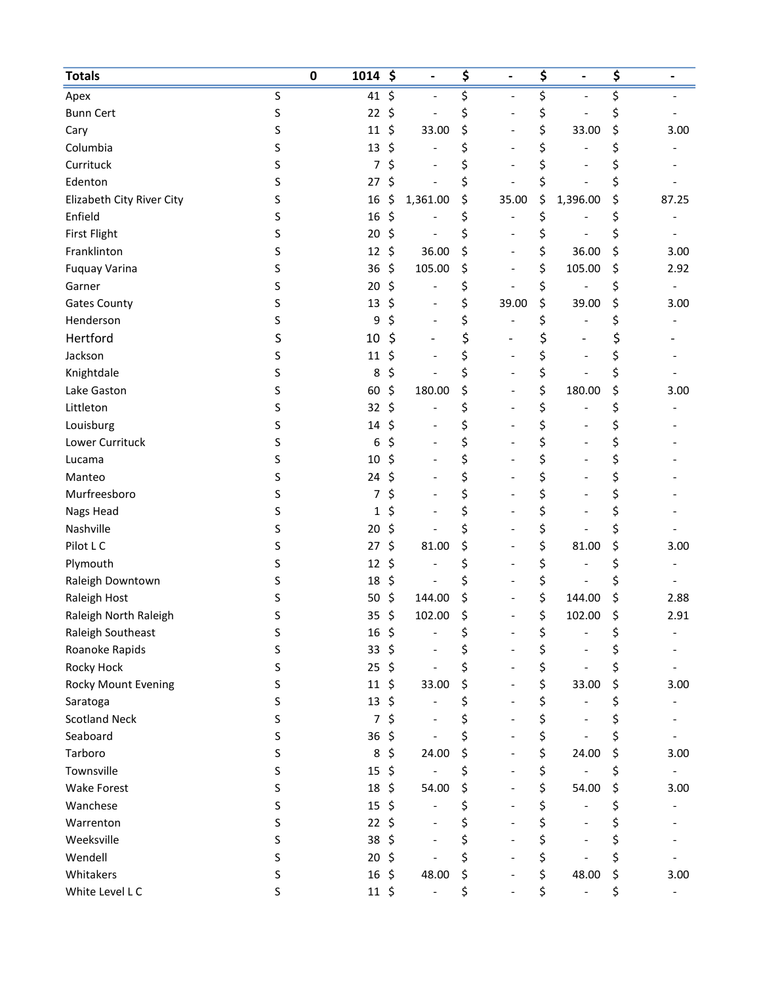| \$<br>\$<br>\$<br>S<br>41<br>\$<br>Apex<br>S<br>22<br>\$<br>\$<br>\$<br><b>Bunn Cert</b><br>\$<br>\$<br>\$<br>\$<br>\$<br>33.00<br>S<br>11<br>33.00<br>3.00<br>Cary<br>\$<br>\$<br>\$<br>\$<br>Columbia<br>S<br>13<br>Currituck<br>\$<br>\$<br>S<br>7<br>\$<br>\$<br>\$<br>S<br>\$<br>Edenton<br>\$<br>27<br>\$<br>\$<br>\$<br>S<br>\$<br>1,361.00<br>1,396.00<br>Elizabeth City River City<br>16<br>35.00<br>87.25<br>Enfield<br>\$<br>\$<br>\$<br>S<br>16<br>\$<br>\$<br><b>First Flight</b><br>S<br>20<br>\$<br>\$<br>\$<br>\$<br>\$<br>\$<br>Franklinton<br>\$<br>36.00<br>36.00<br>S<br>12<br>3.00<br>\$<br>\$<br><b>Fuquay Varina</b><br>105.00<br>\$<br>105.00<br>\$<br>S<br>36<br>2.92<br>\$<br>\$<br>\$<br>\$<br>S<br>20<br>Garner<br>\$<br>\$<br>S<br>\$<br>39.00<br><b>Gates County</b><br>13<br>\$<br>39.00<br>3.00<br>\$<br>\$<br>Henderson<br>\$<br>9<br>\$<br>S<br>\$<br>\$<br>Hertford<br>\$<br>S<br>10<br>\$<br>Jackson<br>\$<br>\$<br>S<br>11<br>\$<br>\$<br>Knightdale<br>\$<br>\$<br>\$<br>S<br>8<br>$\qquad \qquad -$<br>\$<br>\$<br>\$<br>S<br>60<br>\$<br>180.00<br>180.00<br>Lake Gaston<br>3.00<br>\$<br>S<br>\$<br>\$<br>\$<br>Littleton<br>32<br>\$<br>Louisburg<br>\$<br>\$<br>S<br>14<br>\$<br>\$<br>Lower Currituck<br>\$<br>\$<br>\$<br>S<br>6<br>\$<br>\$<br>\$<br>\$<br>S<br>10<br>Lucama<br>\$<br>\$<br>\$<br>Manteo<br>S<br>\$<br>24<br>\$<br>\$<br>Murfreesboro<br>\$<br>S<br>7<br>\$<br>S<br>\$<br>\$<br>\$<br>Nags Head<br>1<br>Nashville<br>\$<br>\$<br>\$<br>\$<br>S<br>20<br>\$<br>\$<br>\$<br>Pilot L C<br>\$<br>81.00<br>81.00<br>S<br>27<br>3.00<br>\$<br>Plymouth<br>S<br>12<br>\$<br>\$<br>\$<br>\$<br>Raleigh Downtown<br>18<br>\$<br>\$<br>S<br>\$<br>\$<br>\$<br>\$<br>Raleigh Host<br>S<br>50<br>144.00<br>144.00<br>2.88<br>\$<br>\$<br>\$<br>\$<br>Raleigh North Raleigh<br>S<br>35<br>102.00<br>102.00<br>2.91<br>Raleigh Southeast<br>16<br>\$<br>\$<br>S<br>\$<br>\$<br>Roanoke Rapids<br>\$<br>33<br>S<br>\$<br>Ş<br>\$<br>\$<br>\$<br>\$<br>Rocky Hock<br>S<br>\$<br>25<br>\$<br>\$<br>\$<br><b>Rocky Mount Evening</b><br>S<br>\$<br>33.00<br>11<br>33.00<br>3.00<br>$\overline{\phantom{0}}$<br>\$<br>\$<br>Saratoga<br>S<br>13<br>\$<br>\$<br>$\qquad \qquad -$<br>\$<br>\$<br>\$<br><b>Scotland Neck</b><br>S<br>7<br>\$<br>\$<br>\$<br>\$<br>Seaboard<br>S<br>36<br>\$<br>\$<br>Tarboro<br>24.00<br>\$<br>24.00<br>\$<br>S<br>8<br>\$<br>3.00<br>$\overline{\phantom{0}}$<br>\$<br>Townsville<br>S<br>15<br>\$<br>\$<br>\$<br>\$<br>\$<br>S<br>18<br>\$<br>\$<br>54.00<br><b>Wake Forest</b><br>54.00<br>3.00<br>\$<br>Wanchese<br>S<br>15<br>\$<br>\$<br>\$<br>$\overline{\phantom{0}}$<br>\$<br>Warrenton<br>S<br>22<br>\$<br>\$<br>\$<br>\$<br>Weeksville<br>38<br>\$<br>\$<br>\$<br>S<br>\$<br>\$<br>\$<br>Wendell<br>\$<br>S<br>20<br>\$<br>16<br>\$<br>Whitakers<br>S<br>\$<br>48.00<br>\$<br>48.00<br>3.00<br>\$<br>\$<br>White Level L C<br>S<br>$11 \;$ \$<br>\$ | <b>Totals</b> | $\pmb{0}$<br>1014 | \$<br>$\overline{\phantom{0}}$ | \$<br>$\overline{\phantom{0}}$ | \$<br>$\qquad \qquad \blacksquare$ | \$<br>$\qquad \qquad \blacksquare$ |
|-----------------------------------------------------------------------------------------------------------------------------------------------------------------------------------------------------------------------------------------------------------------------------------------------------------------------------------------------------------------------------------------------------------------------------------------------------------------------------------------------------------------------------------------------------------------------------------------------------------------------------------------------------------------------------------------------------------------------------------------------------------------------------------------------------------------------------------------------------------------------------------------------------------------------------------------------------------------------------------------------------------------------------------------------------------------------------------------------------------------------------------------------------------------------------------------------------------------------------------------------------------------------------------------------------------------------------------------------------------------------------------------------------------------------------------------------------------------------------------------------------------------------------------------------------------------------------------------------------------------------------------------------------------------------------------------------------------------------------------------------------------------------------------------------------------------------------------------------------------------------------------------------------------------------------------------------------------------------------------------------------------------------------------------------------------------------------------------------------------------------------------------------------------------------------------------------------------------------------------------------------------------------------------------------------------------------------------------------------------------------------------------------------------------------------------------------------------------------------------------------------------------------------------------------------------------------------------------------------------------------------------------------------------------------------------------------------------------------------------------------------------------------------------------------------------------------------------------------------------------------------------------------------------------------------------------|---------------|-------------------|--------------------------------|--------------------------------|------------------------------------|------------------------------------|
|                                                                                                                                                                                                                                                                                                                                                                                                                                                                                                                                                                                                                                                                                                                                                                                                                                                                                                                                                                                                                                                                                                                                                                                                                                                                                                                                                                                                                                                                                                                                                                                                                                                                                                                                                                                                                                                                                                                                                                                                                                                                                                                                                                                                                                                                                                                                                                                                                                                                                                                                                                                                                                                                                                                                                                                                                                                                                                                                         |               |                   |                                |                                |                                    |                                    |
|                                                                                                                                                                                                                                                                                                                                                                                                                                                                                                                                                                                                                                                                                                                                                                                                                                                                                                                                                                                                                                                                                                                                                                                                                                                                                                                                                                                                                                                                                                                                                                                                                                                                                                                                                                                                                                                                                                                                                                                                                                                                                                                                                                                                                                                                                                                                                                                                                                                                                                                                                                                                                                                                                                                                                                                                                                                                                                                                         |               |                   |                                |                                |                                    |                                    |
|                                                                                                                                                                                                                                                                                                                                                                                                                                                                                                                                                                                                                                                                                                                                                                                                                                                                                                                                                                                                                                                                                                                                                                                                                                                                                                                                                                                                                                                                                                                                                                                                                                                                                                                                                                                                                                                                                                                                                                                                                                                                                                                                                                                                                                                                                                                                                                                                                                                                                                                                                                                                                                                                                                                                                                                                                                                                                                                                         |               |                   |                                |                                |                                    |                                    |
|                                                                                                                                                                                                                                                                                                                                                                                                                                                                                                                                                                                                                                                                                                                                                                                                                                                                                                                                                                                                                                                                                                                                                                                                                                                                                                                                                                                                                                                                                                                                                                                                                                                                                                                                                                                                                                                                                                                                                                                                                                                                                                                                                                                                                                                                                                                                                                                                                                                                                                                                                                                                                                                                                                                                                                                                                                                                                                                                         |               |                   |                                |                                |                                    |                                    |
|                                                                                                                                                                                                                                                                                                                                                                                                                                                                                                                                                                                                                                                                                                                                                                                                                                                                                                                                                                                                                                                                                                                                                                                                                                                                                                                                                                                                                                                                                                                                                                                                                                                                                                                                                                                                                                                                                                                                                                                                                                                                                                                                                                                                                                                                                                                                                                                                                                                                                                                                                                                                                                                                                                                                                                                                                                                                                                                                         |               |                   |                                |                                |                                    |                                    |
|                                                                                                                                                                                                                                                                                                                                                                                                                                                                                                                                                                                                                                                                                                                                                                                                                                                                                                                                                                                                                                                                                                                                                                                                                                                                                                                                                                                                                                                                                                                                                                                                                                                                                                                                                                                                                                                                                                                                                                                                                                                                                                                                                                                                                                                                                                                                                                                                                                                                                                                                                                                                                                                                                                                                                                                                                                                                                                                                         |               |                   |                                |                                |                                    |                                    |
|                                                                                                                                                                                                                                                                                                                                                                                                                                                                                                                                                                                                                                                                                                                                                                                                                                                                                                                                                                                                                                                                                                                                                                                                                                                                                                                                                                                                                                                                                                                                                                                                                                                                                                                                                                                                                                                                                                                                                                                                                                                                                                                                                                                                                                                                                                                                                                                                                                                                                                                                                                                                                                                                                                                                                                                                                                                                                                                                         |               |                   |                                |                                |                                    |                                    |
|                                                                                                                                                                                                                                                                                                                                                                                                                                                                                                                                                                                                                                                                                                                                                                                                                                                                                                                                                                                                                                                                                                                                                                                                                                                                                                                                                                                                                                                                                                                                                                                                                                                                                                                                                                                                                                                                                                                                                                                                                                                                                                                                                                                                                                                                                                                                                                                                                                                                                                                                                                                                                                                                                                                                                                                                                                                                                                                                         |               |                   |                                |                                |                                    |                                    |
|                                                                                                                                                                                                                                                                                                                                                                                                                                                                                                                                                                                                                                                                                                                                                                                                                                                                                                                                                                                                                                                                                                                                                                                                                                                                                                                                                                                                                                                                                                                                                                                                                                                                                                                                                                                                                                                                                                                                                                                                                                                                                                                                                                                                                                                                                                                                                                                                                                                                                                                                                                                                                                                                                                                                                                                                                                                                                                                                         |               |                   |                                |                                |                                    |                                    |
|                                                                                                                                                                                                                                                                                                                                                                                                                                                                                                                                                                                                                                                                                                                                                                                                                                                                                                                                                                                                                                                                                                                                                                                                                                                                                                                                                                                                                                                                                                                                                                                                                                                                                                                                                                                                                                                                                                                                                                                                                                                                                                                                                                                                                                                                                                                                                                                                                                                                                                                                                                                                                                                                                                                                                                                                                                                                                                                                         |               |                   |                                |                                |                                    |                                    |
|                                                                                                                                                                                                                                                                                                                                                                                                                                                                                                                                                                                                                                                                                                                                                                                                                                                                                                                                                                                                                                                                                                                                                                                                                                                                                                                                                                                                                                                                                                                                                                                                                                                                                                                                                                                                                                                                                                                                                                                                                                                                                                                                                                                                                                                                                                                                                                                                                                                                                                                                                                                                                                                                                                                                                                                                                                                                                                                                         |               |                   |                                |                                |                                    |                                    |
|                                                                                                                                                                                                                                                                                                                                                                                                                                                                                                                                                                                                                                                                                                                                                                                                                                                                                                                                                                                                                                                                                                                                                                                                                                                                                                                                                                                                                                                                                                                                                                                                                                                                                                                                                                                                                                                                                                                                                                                                                                                                                                                                                                                                                                                                                                                                                                                                                                                                                                                                                                                                                                                                                                                                                                                                                                                                                                                                         |               |                   |                                |                                |                                    |                                    |
|                                                                                                                                                                                                                                                                                                                                                                                                                                                                                                                                                                                                                                                                                                                                                                                                                                                                                                                                                                                                                                                                                                                                                                                                                                                                                                                                                                                                                                                                                                                                                                                                                                                                                                                                                                                                                                                                                                                                                                                                                                                                                                                                                                                                                                                                                                                                                                                                                                                                                                                                                                                                                                                                                                                                                                                                                                                                                                                                         |               |                   |                                |                                |                                    |                                    |
|                                                                                                                                                                                                                                                                                                                                                                                                                                                                                                                                                                                                                                                                                                                                                                                                                                                                                                                                                                                                                                                                                                                                                                                                                                                                                                                                                                                                                                                                                                                                                                                                                                                                                                                                                                                                                                                                                                                                                                                                                                                                                                                                                                                                                                                                                                                                                                                                                                                                                                                                                                                                                                                                                                                                                                                                                                                                                                                                         |               |                   |                                |                                |                                    |                                    |
|                                                                                                                                                                                                                                                                                                                                                                                                                                                                                                                                                                                                                                                                                                                                                                                                                                                                                                                                                                                                                                                                                                                                                                                                                                                                                                                                                                                                                                                                                                                                                                                                                                                                                                                                                                                                                                                                                                                                                                                                                                                                                                                                                                                                                                                                                                                                                                                                                                                                                                                                                                                                                                                                                                                                                                                                                                                                                                                                         |               |                   |                                |                                |                                    |                                    |
|                                                                                                                                                                                                                                                                                                                                                                                                                                                                                                                                                                                                                                                                                                                                                                                                                                                                                                                                                                                                                                                                                                                                                                                                                                                                                                                                                                                                                                                                                                                                                                                                                                                                                                                                                                                                                                                                                                                                                                                                                                                                                                                                                                                                                                                                                                                                                                                                                                                                                                                                                                                                                                                                                                                                                                                                                                                                                                                                         |               |                   |                                |                                |                                    |                                    |
|                                                                                                                                                                                                                                                                                                                                                                                                                                                                                                                                                                                                                                                                                                                                                                                                                                                                                                                                                                                                                                                                                                                                                                                                                                                                                                                                                                                                                                                                                                                                                                                                                                                                                                                                                                                                                                                                                                                                                                                                                                                                                                                                                                                                                                                                                                                                                                                                                                                                                                                                                                                                                                                                                                                                                                                                                                                                                                                                         |               |                   |                                |                                |                                    |                                    |
|                                                                                                                                                                                                                                                                                                                                                                                                                                                                                                                                                                                                                                                                                                                                                                                                                                                                                                                                                                                                                                                                                                                                                                                                                                                                                                                                                                                                                                                                                                                                                                                                                                                                                                                                                                                                                                                                                                                                                                                                                                                                                                                                                                                                                                                                                                                                                                                                                                                                                                                                                                                                                                                                                                                                                                                                                                                                                                                                         |               |                   |                                |                                |                                    |                                    |
|                                                                                                                                                                                                                                                                                                                                                                                                                                                                                                                                                                                                                                                                                                                                                                                                                                                                                                                                                                                                                                                                                                                                                                                                                                                                                                                                                                                                                                                                                                                                                                                                                                                                                                                                                                                                                                                                                                                                                                                                                                                                                                                                                                                                                                                                                                                                                                                                                                                                                                                                                                                                                                                                                                                                                                                                                                                                                                                                         |               |                   |                                |                                |                                    |                                    |
|                                                                                                                                                                                                                                                                                                                                                                                                                                                                                                                                                                                                                                                                                                                                                                                                                                                                                                                                                                                                                                                                                                                                                                                                                                                                                                                                                                                                                                                                                                                                                                                                                                                                                                                                                                                                                                                                                                                                                                                                                                                                                                                                                                                                                                                                                                                                                                                                                                                                                                                                                                                                                                                                                                                                                                                                                                                                                                                                         |               |                   |                                |                                |                                    |                                    |
|                                                                                                                                                                                                                                                                                                                                                                                                                                                                                                                                                                                                                                                                                                                                                                                                                                                                                                                                                                                                                                                                                                                                                                                                                                                                                                                                                                                                                                                                                                                                                                                                                                                                                                                                                                                                                                                                                                                                                                                                                                                                                                                                                                                                                                                                                                                                                                                                                                                                                                                                                                                                                                                                                                                                                                                                                                                                                                                                         |               |                   |                                |                                |                                    |                                    |
|                                                                                                                                                                                                                                                                                                                                                                                                                                                                                                                                                                                                                                                                                                                                                                                                                                                                                                                                                                                                                                                                                                                                                                                                                                                                                                                                                                                                                                                                                                                                                                                                                                                                                                                                                                                                                                                                                                                                                                                                                                                                                                                                                                                                                                                                                                                                                                                                                                                                                                                                                                                                                                                                                                                                                                                                                                                                                                                                         |               |                   |                                |                                |                                    |                                    |
|                                                                                                                                                                                                                                                                                                                                                                                                                                                                                                                                                                                                                                                                                                                                                                                                                                                                                                                                                                                                                                                                                                                                                                                                                                                                                                                                                                                                                                                                                                                                                                                                                                                                                                                                                                                                                                                                                                                                                                                                                                                                                                                                                                                                                                                                                                                                                                                                                                                                                                                                                                                                                                                                                                                                                                                                                                                                                                                                         |               |                   |                                |                                |                                    |                                    |
|                                                                                                                                                                                                                                                                                                                                                                                                                                                                                                                                                                                                                                                                                                                                                                                                                                                                                                                                                                                                                                                                                                                                                                                                                                                                                                                                                                                                                                                                                                                                                                                                                                                                                                                                                                                                                                                                                                                                                                                                                                                                                                                                                                                                                                                                                                                                                                                                                                                                                                                                                                                                                                                                                                                                                                                                                                                                                                                                         |               |                   |                                |                                |                                    |                                    |
|                                                                                                                                                                                                                                                                                                                                                                                                                                                                                                                                                                                                                                                                                                                                                                                                                                                                                                                                                                                                                                                                                                                                                                                                                                                                                                                                                                                                                                                                                                                                                                                                                                                                                                                                                                                                                                                                                                                                                                                                                                                                                                                                                                                                                                                                                                                                                                                                                                                                                                                                                                                                                                                                                                                                                                                                                                                                                                                                         |               |                   |                                |                                |                                    |                                    |
|                                                                                                                                                                                                                                                                                                                                                                                                                                                                                                                                                                                                                                                                                                                                                                                                                                                                                                                                                                                                                                                                                                                                                                                                                                                                                                                                                                                                                                                                                                                                                                                                                                                                                                                                                                                                                                                                                                                                                                                                                                                                                                                                                                                                                                                                                                                                                                                                                                                                                                                                                                                                                                                                                                                                                                                                                                                                                                                                         |               |                   |                                |                                |                                    |                                    |
|                                                                                                                                                                                                                                                                                                                                                                                                                                                                                                                                                                                                                                                                                                                                                                                                                                                                                                                                                                                                                                                                                                                                                                                                                                                                                                                                                                                                                                                                                                                                                                                                                                                                                                                                                                                                                                                                                                                                                                                                                                                                                                                                                                                                                                                                                                                                                                                                                                                                                                                                                                                                                                                                                                                                                                                                                                                                                                                                         |               |                   |                                |                                |                                    |                                    |
|                                                                                                                                                                                                                                                                                                                                                                                                                                                                                                                                                                                                                                                                                                                                                                                                                                                                                                                                                                                                                                                                                                                                                                                                                                                                                                                                                                                                                                                                                                                                                                                                                                                                                                                                                                                                                                                                                                                                                                                                                                                                                                                                                                                                                                                                                                                                                                                                                                                                                                                                                                                                                                                                                                                                                                                                                                                                                                                                         |               |                   |                                |                                |                                    |                                    |
|                                                                                                                                                                                                                                                                                                                                                                                                                                                                                                                                                                                                                                                                                                                                                                                                                                                                                                                                                                                                                                                                                                                                                                                                                                                                                                                                                                                                                                                                                                                                                                                                                                                                                                                                                                                                                                                                                                                                                                                                                                                                                                                                                                                                                                                                                                                                                                                                                                                                                                                                                                                                                                                                                                                                                                                                                                                                                                                                         |               |                   |                                |                                |                                    |                                    |
|                                                                                                                                                                                                                                                                                                                                                                                                                                                                                                                                                                                                                                                                                                                                                                                                                                                                                                                                                                                                                                                                                                                                                                                                                                                                                                                                                                                                                                                                                                                                                                                                                                                                                                                                                                                                                                                                                                                                                                                                                                                                                                                                                                                                                                                                                                                                                                                                                                                                                                                                                                                                                                                                                                                                                                                                                                                                                                                                         |               |                   |                                |                                |                                    |                                    |
|                                                                                                                                                                                                                                                                                                                                                                                                                                                                                                                                                                                                                                                                                                                                                                                                                                                                                                                                                                                                                                                                                                                                                                                                                                                                                                                                                                                                                                                                                                                                                                                                                                                                                                                                                                                                                                                                                                                                                                                                                                                                                                                                                                                                                                                                                                                                                                                                                                                                                                                                                                                                                                                                                                                                                                                                                                                                                                                                         |               |                   |                                |                                |                                    |                                    |
|                                                                                                                                                                                                                                                                                                                                                                                                                                                                                                                                                                                                                                                                                                                                                                                                                                                                                                                                                                                                                                                                                                                                                                                                                                                                                                                                                                                                                                                                                                                                                                                                                                                                                                                                                                                                                                                                                                                                                                                                                                                                                                                                                                                                                                                                                                                                                                                                                                                                                                                                                                                                                                                                                                                                                                                                                                                                                                                                         |               |                   |                                |                                |                                    |                                    |
|                                                                                                                                                                                                                                                                                                                                                                                                                                                                                                                                                                                                                                                                                                                                                                                                                                                                                                                                                                                                                                                                                                                                                                                                                                                                                                                                                                                                                                                                                                                                                                                                                                                                                                                                                                                                                                                                                                                                                                                                                                                                                                                                                                                                                                                                                                                                                                                                                                                                                                                                                                                                                                                                                                                                                                                                                                                                                                                                         |               |                   |                                |                                |                                    |                                    |
|                                                                                                                                                                                                                                                                                                                                                                                                                                                                                                                                                                                                                                                                                                                                                                                                                                                                                                                                                                                                                                                                                                                                                                                                                                                                                                                                                                                                                                                                                                                                                                                                                                                                                                                                                                                                                                                                                                                                                                                                                                                                                                                                                                                                                                                                                                                                                                                                                                                                                                                                                                                                                                                                                                                                                                                                                                                                                                                                         |               |                   |                                |                                |                                    |                                    |
|                                                                                                                                                                                                                                                                                                                                                                                                                                                                                                                                                                                                                                                                                                                                                                                                                                                                                                                                                                                                                                                                                                                                                                                                                                                                                                                                                                                                                                                                                                                                                                                                                                                                                                                                                                                                                                                                                                                                                                                                                                                                                                                                                                                                                                                                                                                                                                                                                                                                                                                                                                                                                                                                                                                                                                                                                                                                                                                                         |               |                   |                                |                                |                                    |                                    |
|                                                                                                                                                                                                                                                                                                                                                                                                                                                                                                                                                                                                                                                                                                                                                                                                                                                                                                                                                                                                                                                                                                                                                                                                                                                                                                                                                                                                                                                                                                                                                                                                                                                                                                                                                                                                                                                                                                                                                                                                                                                                                                                                                                                                                                                                                                                                                                                                                                                                                                                                                                                                                                                                                                                                                                                                                                                                                                                                         |               |                   |                                |                                |                                    |                                    |
|                                                                                                                                                                                                                                                                                                                                                                                                                                                                                                                                                                                                                                                                                                                                                                                                                                                                                                                                                                                                                                                                                                                                                                                                                                                                                                                                                                                                                                                                                                                                                                                                                                                                                                                                                                                                                                                                                                                                                                                                                                                                                                                                                                                                                                                                                                                                                                                                                                                                                                                                                                                                                                                                                                                                                                                                                                                                                                                                         |               |                   |                                |                                |                                    |                                    |
|                                                                                                                                                                                                                                                                                                                                                                                                                                                                                                                                                                                                                                                                                                                                                                                                                                                                                                                                                                                                                                                                                                                                                                                                                                                                                                                                                                                                                                                                                                                                                                                                                                                                                                                                                                                                                                                                                                                                                                                                                                                                                                                                                                                                                                                                                                                                                                                                                                                                                                                                                                                                                                                                                                                                                                                                                                                                                                                                         |               |                   |                                |                                |                                    |                                    |
|                                                                                                                                                                                                                                                                                                                                                                                                                                                                                                                                                                                                                                                                                                                                                                                                                                                                                                                                                                                                                                                                                                                                                                                                                                                                                                                                                                                                                                                                                                                                                                                                                                                                                                                                                                                                                                                                                                                                                                                                                                                                                                                                                                                                                                                                                                                                                                                                                                                                                                                                                                                                                                                                                                                                                                                                                                                                                                                                         |               |                   |                                |                                |                                    |                                    |
|                                                                                                                                                                                                                                                                                                                                                                                                                                                                                                                                                                                                                                                                                                                                                                                                                                                                                                                                                                                                                                                                                                                                                                                                                                                                                                                                                                                                                                                                                                                                                                                                                                                                                                                                                                                                                                                                                                                                                                                                                                                                                                                                                                                                                                                                                                                                                                                                                                                                                                                                                                                                                                                                                                                                                                                                                                                                                                                                         |               |                   |                                |                                |                                    |                                    |
|                                                                                                                                                                                                                                                                                                                                                                                                                                                                                                                                                                                                                                                                                                                                                                                                                                                                                                                                                                                                                                                                                                                                                                                                                                                                                                                                                                                                                                                                                                                                                                                                                                                                                                                                                                                                                                                                                                                                                                                                                                                                                                                                                                                                                                                                                                                                                                                                                                                                                                                                                                                                                                                                                                                                                                                                                                                                                                                                         |               |                   |                                |                                |                                    |                                    |
|                                                                                                                                                                                                                                                                                                                                                                                                                                                                                                                                                                                                                                                                                                                                                                                                                                                                                                                                                                                                                                                                                                                                                                                                                                                                                                                                                                                                                                                                                                                                                                                                                                                                                                                                                                                                                                                                                                                                                                                                                                                                                                                                                                                                                                                                                                                                                                                                                                                                                                                                                                                                                                                                                                                                                                                                                                                                                                                                         |               |                   |                                |                                |                                    |                                    |
|                                                                                                                                                                                                                                                                                                                                                                                                                                                                                                                                                                                                                                                                                                                                                                                                                                                                                                                                                                                                                                                                                                                                                                                                                                                                                                                                                                                                                                                                                                                                                                                                                                                                                                                                                                                                                                                                                                                                                                                                                                                                                                                                                                                                                                                                                                                                                                                                                                                                                                                                                                                                                                                                                                                                                                                                                                                                                                                                         |               |                   |                                |                                |                                    |                                    |
|                                                                                                                                                                                                                                                                                                                                                                                                                                                                                                                                                                                                                                                                                                                                                                                                                                                                                                                                                                                                                                                                                                                                                                                                                                                                                                                                                                                                                                                                                                                                                                                                                                                                                                                                                                                                                                                                                                                                                                                                                                                                                                                                                                                                                                                                                                                                                                                                                                                                                                                                                                                                                                                                                                                                                                                                                                                                                                                                         |               |                   |                                |                                |                                    |                                    |
|                                                                                                                                                                                                                                                                                                                                                                                                                                                                                                                                                                                                                                                                                                                                                                                                                                                                                                                                                                                                                                                                                                                                                                                                                                                                                                                                                                                                                                                                                                                                                                                                                                                                                                                                                                                                                                                                                                                                                                                                                                                                                                                                                                                                                                                                                                                                                                                                                                                                                                                                                                                                                                                                                                                                                                                                                                                                                                                                         |               |                   |                                |                                |                                    |                                    |
|                                                                                                                                                                                                                                                                                                                                                                                                                                                                                                                                                                                                                                                                                                                                                                                                                                                                                                                                                                                                                                                                                                                                                                                                                                                                                                                                                                                                                                                                                                                                                                                                                                                                                                                                                                                                                                                                                                                                                                                                                                                                                                                                                                                                                                                                                                                                                                                                                                                                                                                                                                                                                                                                                                                                                                                                                                                                                                                                         |               |                   |                                |                                |                                    |                                    |
|                                                                                                                                                                                                                                                                                                                                                                                                                                                                                                                                                                                                                                                                                                                                                                                                                                                                                                                                                                                                                                                                                                                                                                                                                                                                                                                                                                                                                                                                                                                                                                                                                                                                                                                                                                                                                                                                                                                                                                                                                                                                                                                                                                                                                                                                                                                                                                                                                                                                                                                                                                                                                                                                                                                                                                                                                                                                                                                                         |               |                   |                                |                                |                                    |                                    |